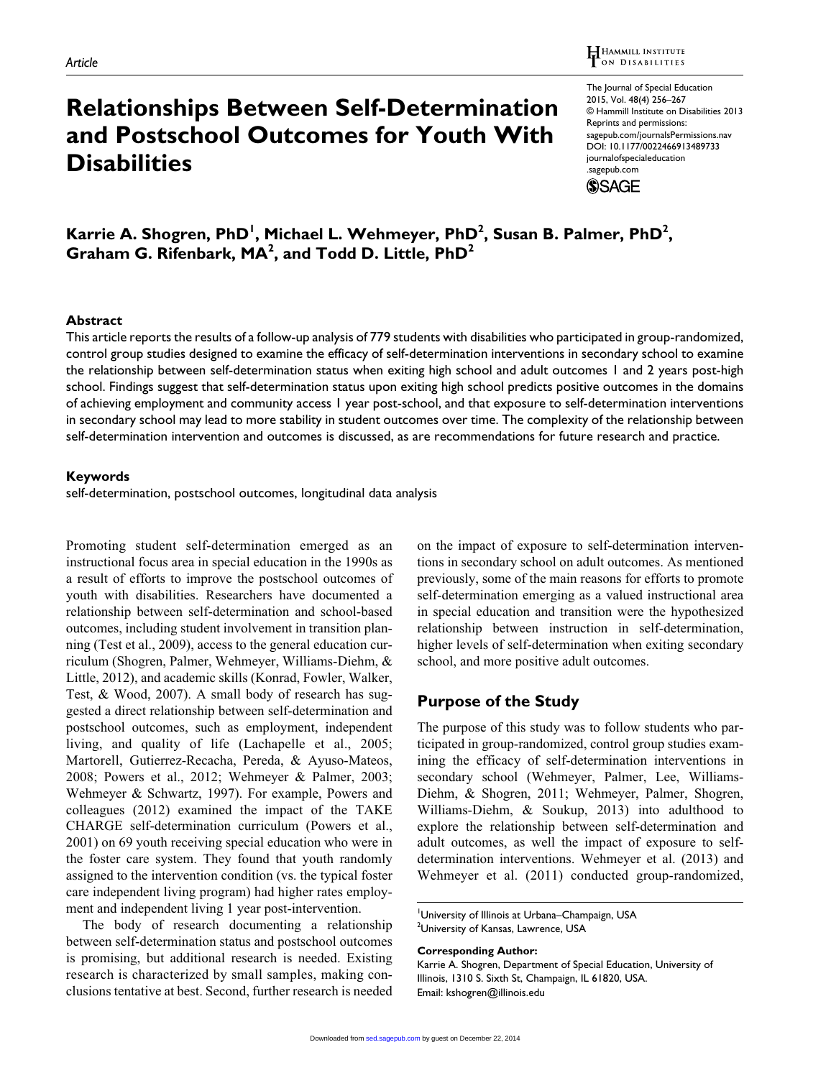# **Relationships Between Self-Determination and Postschool Outcomes for Youth With Disabilities**

The Journal of Special Education 2015, Vol. 48(4) 256–267 © Hammill Institute on Disabilities 2013 Reprints and permissions: sagepub.com/journalsPermissions.nav DOI: 10.1177/0022466913489733 journalofspecialeducation .sagepub.com **SSAGE** 

# **Karrie A. Shogren, PhD<sup>I</sup>, Michael L. Wehmeyer, PhD<sup>2</sup>, Susan B. Palmer, PhD<sup>2</sup>,** Graham G. Rifenbark, MA<sup>2</sup>, and Todd D. Little, PhD<sup>2</sup>

## **Abstract**

This article reports the results of a follow-up analysis of 779 students with disabilities who participated in group-randomized, control group studies designed to examine the efficacy of self-determination interventions in secondary school to examine the relationship between self-determination status when exiting high school and adult outcomes 1 and 2 years post-high school. Findings suggest that self-determination status upon exiting high school predicts positive outcomes in the domains of achieving employment and community access 1 year post-school, and that exposure to self-determination interventions in secondary school may lead to more stability in student outcomes over time. The complexity of the relationship between self-determination intervention and outcomes is discussed, as are recommendations for future research and practice.

## **Keywords**

self-determination, postschool outcomes, longitudinal data analysis

Promoting student self-determination emerged as an instructional focus area in special education in the 1990s as a result of efforts to improve the postschool outcomes of youth with disabilities. Researchers have documented a relationship between self-determination and school-based outcomes, including student involvement in transition planning (Test et al., 2009), access to the general education curriculum (Shogren, Palmer, Wehmeyer, Williams-Diehm, & Little, 2012), and academic skills (Konrad, Fowler, Walker, Test, & Wood, 2007). A small body of research has suggested a direct relationship between self-determination and postschool outcomes, such as employment, independent living, and quality of life (Lachapelle et al., 2005; Martorell, Gutierrez-Recacha, Pereda, & Ayuso-Mateos, 2008; Powers et al., 2012; Wehmeyer & Palmer, 2003; Wehmeyer & Schwartz, 1997). For example, Powers and colleagues (2012) examined the impact of the TAKE CHARGE self-determination curriculum (Powers et al., 2001) on 69 youth receiving special education who were in the foster care system. They found that youth randomly assigned to the intervention condition (vs. the typical foster care independent living program) had higher rates employment and independent living 1 year post-intervention.

The body of research documenting a relationship between self-determination status and postschool outcomes is promising, but additional research is needed. Existing research is characterized by small samples, making conclusions tentative at best. Second, further research is needed

on the impact of exposure to self-determination interventions in secondary school on adult outcomes. As mentioned previously, some of the main reasons for efforts to promote self-determination emerging as a valued instructional area in special education and transition were the hypothesized relationship between instruction in self-determination, higher levels of self-determination when exiting secondary school, and more positive adult outcomes.

# **Purpose of the Study**

The purpose of this study was to follow students who participated in group-randomized, control group studies examining the efficacy of self-determination interventions in secondary school (Wehmeyer, Palmer, Lee, Williams-Diehm, & Shogren, 2011; Wehmeyer, Palmer, Shogren, Williams-Diehm, & Soukup, 2013) into adulthood to explore the relationship between self-determination and adult outcomes, as well the impact of exposure to selfdetermination interventions. Wehmeyer et al. (2013) and Wehmeyer et al. (2011) conducted group-randomized,

#### **Corresponding Author:**

Karrie A. Shogren, Department of Special Education, University of Illinois, 1310 S. Sixth St, Champaign, IL 61820, USA. Email: kshogren@illinois.edu

University of Illinois at Urbana-Champaign, USA <sup>2</sup>University of Kansas, Lawrence, USA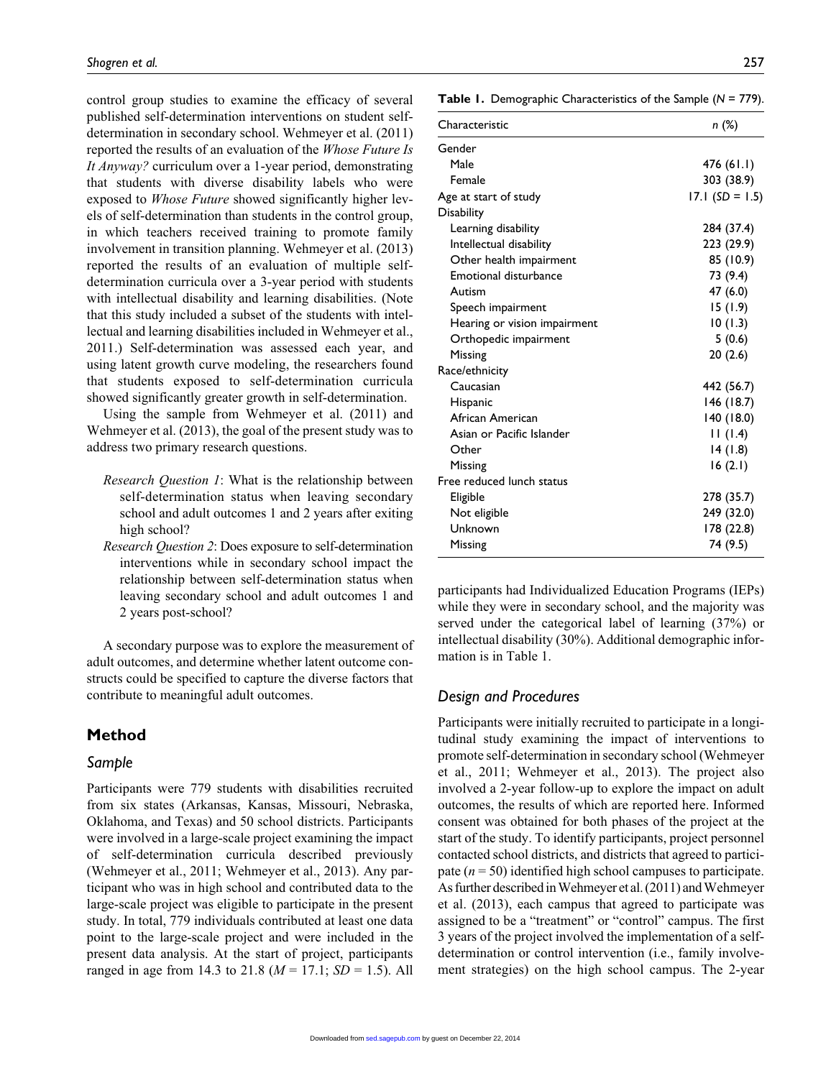control group studies to examine the efficacy of several published self-determination interventions on student selfdetermination in secondary school. Wehmeyer et al. (2011) reported the results of an evaluation of the *Whose Future Is It Anyway?* curriculum over a 1-year period, demonstrating that students with diverse disability labels who were exposed to *Whose Future* showed significantly higher levels of self-determination than students in the control group, in which teachers received training to promote family involvement in transition planning. Wehmeyer et al. (2013) reported the results of an evaluation of multiple selfdetermination curricula over a 3-year period with students with intellectual disability and learning disabilities. (Note that this study included a subset of the students with intellectual and learning disabilities included in Wehmeyer et al., 2011.) Self-determination was assessed each year, and using latent growth curve modeling, the researchers found that students exposed to self-determination curricula showed significantly greater growth in self-determination.

Using the sample from Wehmeyer et al. (2011) and Wehmeyer et al. (2013), the goal of the present study was to address two primary research questions.

- *Research Question 1*: What is the relationship between self-determination status when leaving secondary school and adult outcomes 1 and 2 years after exiting high school?
- *Research Question 2*: Does exposure to self-determination interventions while in secondary school impact the relationship between self-determination status when leaving secondary school and adult outcomes 1 and 2 years post-school?

A secondary purpose was to explore the measurement of adult outcomes, and determine whether latent outcome constructs could be specified to capture the diverse factors that contribute to meaningful adult outcomes.

# **Method**

## *Sample*

Participants were 779 students with disabilities recruited from six states (Arkansas, Kansas, Missouri, Nebraska, Oklahoma, and Texas) and 50 school districts. Participants were involved in a large-scale project examining the impact of self-determination curricula described previously (Wehmeyer et al., 2011; Wehmeyer et al., 2013). Any participant who was in high school and contributed data to the large-scale project was eligible to participate in the present study. In total, 779 individuals contributed at least one data point to the large-scale project and were included in the present data analysis. At the start of project, participants ranged in age from 14.3 to 21.8 (*M* = 17.1; *SD* = 1.5). All

**Table 1.** Demographic Characteristics of the Sample (*N* = 779).

| Characteristic               | n (%)             |
|------------------------------|-------------------|
| Gender                       |                   |
| Male                         | 476 (61.1)        |
| Female                       | 303 (38.9)        |
| Age at start of study        | $17.1$ (SD = 1.5) |
| Disability                   |                   |
| Learning disability          | 284 (37.4)        |
| Intellectual disability      | 223 (29.9)        |
| Other health impairment      | 85 (10.9)         |
| Emotional disturbance        | 73 (9.4)          |
| Autism                       | 47 (6.0)          |
| Speech impairment            | 15 (1.9)          |
| Hearing or vision impairment | 10(1.3)           |
| Orthopedic impairment        | 5(0.6)            |
| Missing                      | 20(2.6)           |
| Race/ethnicity               |                   |
| Caucasian                    | 442 (56.7)        |
| Hispanic                     | 146 (18.7)        |
| African American             | 140 (18.0)        |
| Asian or Pacific Islander    | 11(1.4)           |
| Other                        | 14(1.8)           |
| Missing                      | 16(2.1)           |
| Free reduced lunch status    |                   |
| Eligible                     | 278 (35.7)        |
| Not eligible                 | 249 (32.0)        |
| Unknown                      | 178 (22.8)        |
| Missing                      | 74 (9.5)          |

participants had Individualized Education Programs (IEPs) while they were in secondary school, and the majority was served under the categorical label of learning (37%) or intellectual disability (30%). Additional demographic information is in Table 1.

# *Design and Procedures*

Participants were initially recruited to participate in a longitudinal study examining the impact of interventions to promote self-determination in secondary school (Wehmeyer et al., 2011; Wehmeyer et al., 2013). The project also involved a 2-year follow-up to explore the impact on adult outcomes, the results of which are reported here. Informed consent was obtained for both phases of the project at the start of the study. To identify participants, project personnel contacted school districts, and districts that agreed to participate (*n* = 50) identified high school campuses to participate. As further described in Wehmeyer et al. (2011) and Wehmeyer et al. (2013), each campus that agreed to participate was assigned to be a "treatment" or "control" campus. The first 3 years of the project involved the implementation of a selfdetermination or control intervention (i.e., family involvement strategies) on the high school campus. The 2-year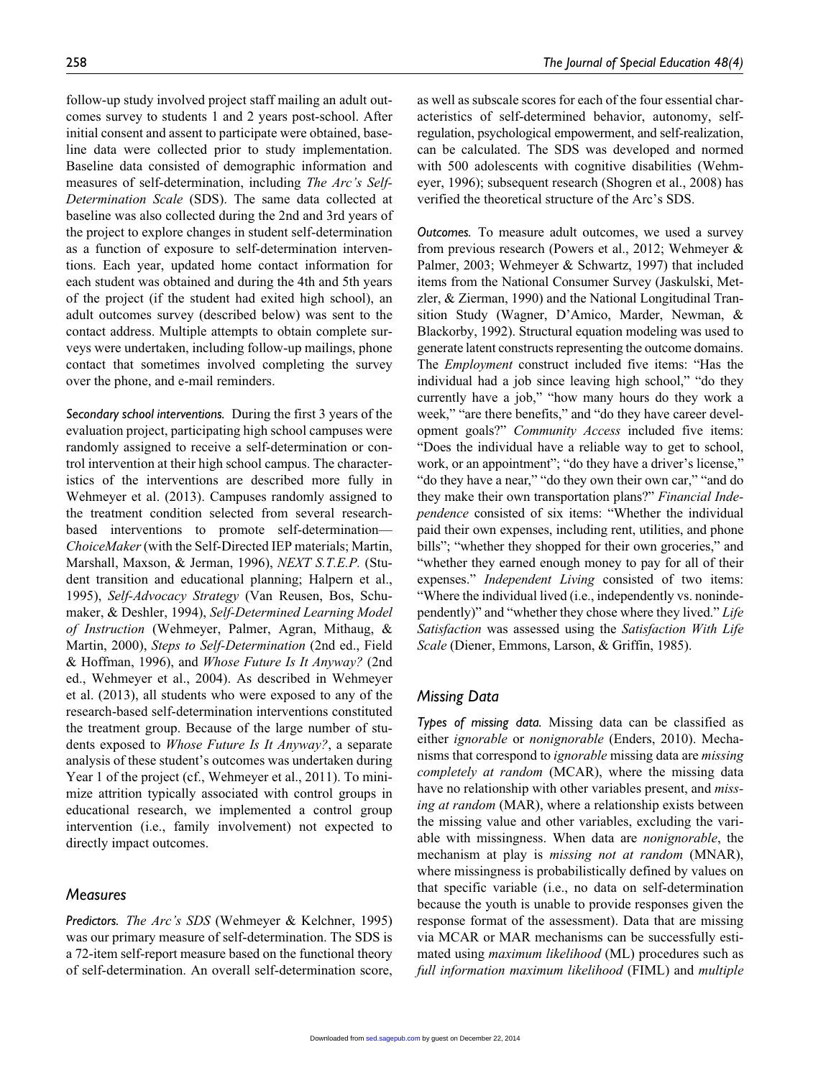follow-up study involved project staff mailing an adult outcomes survey to students 1 and 2 years post-school. After initial consent and assent to participate were obtained, baseline data were collected prior to study implementation. Baseline data consisted of demographic information and measures of self-determination, including *The Arc's Self-Determination Scale* (SDS). The same data collected at baseline was also collected during the 2nd and 3rd years of the project to explore changes in student self-determination as a function of exposure to self-determination interventions. Each year, updated home contact information for each student was obtained and during the 4th and 5th years of the project (if the student had exited high school), an adult outcomes survey (described below) was sent to the contact address. Multiple attempts to obtain complete surveys were undertaken, including follow-up mailings, phone contact that sometimes involved completing the survey over the phone, and e-mail reminders.

*Secondary school interventions.* During the first 3 years of the evaluation project, participating high school campuses were randomly assigned to receive a self-determination or control intervention at their high school campus. The characteristics of the interventions are described more fully in Wehmeyer et al. (2013). Campuses randomly assigned to the treatment condition selected from several researchbased interventions to promote self-determination— *ChoiceMaker* (with the Self-Directed IEP materials; Martin, Marshall, Maxson, & Jerman, 1996), *NEXT S.T.E.P.* (Student transition and educational planning; Halpern et al., 1995), *Self-Advocacy Strategy* (Van Reusen, Bos, Schumaker, & Deshler, 1994), *Self-Determined Learning Model of Instruction* (Wehmeyer, Palmer, Agran, Mithaug, & Martin, 2000), *Steps to Self-Determination* (2nd ed., Field & Hoffman, 1996), and *Whose Future Is It Anyway?* (2nd ed., Wehmeyer et al., 2004). As described in Wehmeyer et al. (2013), all students who were exposed to any of the research-based self-determination interventions constituted the treatment group. Because of the large number of students exposed to *Whose Future Is It Anyway?*, a separate analysis of these student's outcomes was undertaken during Year 1 of the project (cf., Wehmeyer et al., 2011). To minimize attrition typically associated with control groups in educational research, we implemented a control group intervention (i.e., family involvement) not expected to directly impact outcomes.

# *Measures*

*Predictors. The Arc's SDS* (Wehmeyer & Kelchner, 1995) was our primary measure of self-determination. The SDS is a 72-item self-report measure based on the functional theory of self-determination. An overall self-determination score, as well as subscale scores for each of the four essential characteristics of self-determined behavior, autonomy, selfregulation, psychological empowerment, and self-realization, can be calculated. The SDS was developed and normed with 500 adolescents with cognitive disabilities (Wehmeyer, 1996); subsequent research (Shogren et al., 2008) has verified the theoretical structure of the Arc's SDS.

*Outcomes.* To measure adult outcomes, we used a survey from previous research (Powers et al., 2012; Wehmeyer & Palmer, 2003; Wehmeyer & Schwartz, 1997) that included items from the National Consumer Survey (Jaskulski, Metzler, & Zierman, 1990) and the National Longitudinal Transition Study (Wagner, D'Amico, Marder, Newman, & Blackorby, 1992). Structural equation modeling was used to generate latent constructs representing the outcome domains. The *Employment* construct included five items: "Has the individual had a job since leaving high school," "do they currently have a job," "how many hours do they work a week," "are there benefits," and "do they have career development goals?" *Community Access* included five items: "Does the individual have a reliable way to get to school, work, or an appointment"; "do they have a driver's license," "do they have a near," "do they own their own car," "and do they make their own transportation plans?" *Financial Independence* consisted of six items: "Whether the individual paid their own expenses, including rent, utilities, and phone bills"; "whether they shopped for their own groceries," and "whether they earned enough money to pay for all of their expenses." *Independent Living* consisted of two items: "Where the individual lived (i.e., independently vs. nonindependently)" and "whether they chose where they lived." *Life Satisfaction* was assessed using the *Satisfaction With Life Scale* (Diener, Emmons, Larson, & Griffin, 1985).

## *Missing Data*

*Types of missing data.* Missing data can be classified as either *ignorable* or *nonignorable* (Enders, 2010). Mechanisms that correspond to *ignorable* missing data are *missing completely at random* (MCAR), where the missing data have no relationship with other variables present, and *missing at random* (MAR), where a relationship exists between the missing value and other variables, excluding the variable with missingness. When data are *nonignorable*, the mechanism at play is *missing not at random* (MNAR), where missingness is probabilistically defined by values on that specific variable (i.e., no data on self-determination because the youth is unable to provide responses given the response format of the assessment). Data that are missing via MCAR or MAR mechanisms can be successfully estimated using *maximum likelihood* (ML) procedures such as *full information maximum likelihood* (FIML) and *multiple*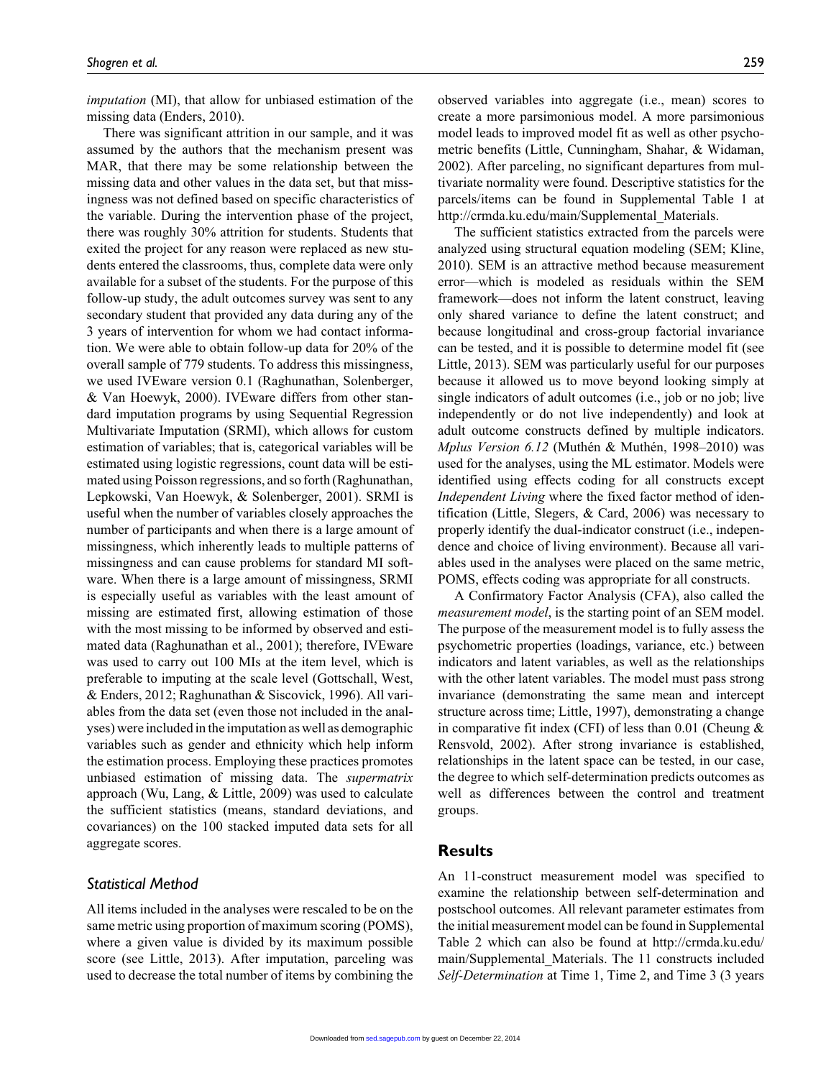*imputation* (MI), that allow for unbiased estimation of the missing data (Enders, 2010).

There was significant attrition in our sample, and it was assumed by the authors that the mechanism present was MAR, that there may be some relationship between the missing data and other values in the data set, but that missingness was not defined based on specific characteristics of the variable. During the intervention phase of the project, there was roughly 30% attrition for students. Students that exited the project for any reason were replaced as new students entered the classrooms, thus, complete data were only available for a subset of the students. For the purpose of this follow-up study, the adult outcomes survey was sent to any secondary student that provided any data during any of the 3 years of intervention for whom we had contact information. We were able to obtain follow-up data for 20% of the overall sample of 779 students. To address this missingness, we used IVEware version 0.1 (Raghunathan, Solenberger, & Van Hoewyk, 2000). IVEware differs from other standard imputation programs by using Sequential Regression Multivariate Imputation (SRMI), which allows for custom estimation of variables; that is, categorical variables will be estimated using logistic regressions, count data will be estimated using Poisson regressions, and so forth (Raghunathan, Lepkowski, Van Hoewyk, & Solenberger, 2001). SRMI is useful when the number of variables closely approaches the number of participants and when there is a large amount of missingness, which inherently leads to multiple patterns of missingness and can cause problems for standard MI software. When there is a large amount of missingness, SRMI is especially useful as variables with the least amount of missing are estimated first, allowing estimation of those with the most missing to be informed by observed and estimated data (Raghunathan et al., 2001); therefore, IVEware was used to carry out 100 MIs at the item level, which is preferable to imputing at the scale level (Gottschall, West, & Enders, 2012; Raghunathan & Siscovick, 1996). All variables from the data set (even those not included in the analyses) were included in the imputation as well as demographic variables such as gender and ethnicity which help inform the estimation process. Employing these practices promotes unbiased estimation of missing data. The *supermatrix* approach (Wu, Lang, & Little, 2009) was used to calculate the sufficient statistics (means, standard deviations, and covariances) on the 100 stacked imputed data sets for all aggregate scores.

# *Statistical Method*

All items included in the analyses were rescaled to be on the same metric using proportion of maximum scoring (POMS), where a given value is divided by its maximum possible score (see Little, 2013). After imputation, parceling was used to decrease the total number of items by combining the

observed variables into aggregate (i.e., mean) scores to create a more parsimonious model. A more parsimonious model leads to improved model fit as well as other psychometric benefits (Little, Cunningham, Shahar, & Widaman, 2002). After parceling, no significant departures from multivariate normality were found. Descriptive statistics for the parcels/items can be found in Supplemental Table 1 at http://crmda.ku.edu/main/Supplemental\_Materials.

The sufficient statistics extracted from the parcels were analyzed using structural equation modeling (SEM; Kline, 2010). SEM is an attractive method because measurement error—which is modeled as residuals within the SEM framework—does not inform the latent construct, leaving only shared variance to define the latent construct; and because longitudinal and cross-group factorial invariance can be tested, and it is possible to determine model fit (see Little, 2013). SEM was particularly useful for our purposes because it allowed us to move beyond looking simply at single indicators of adult outcomes (i.e., job or no job; live independently or do not live independently) and look at adult outcome constructs defined by multiple indicators. *Mplus Version 6.12* (Muthén & Muthén, 1998–2010) was used for the analyses, using the ML estimator. Models were identified using effects coding for all constructs except *Independent Living* where the fixed factor method of identification (Little, Slegers, & Card, 2006) was necessary to properly identify the dual-indicator construct (i.e., independence and choice of living environment). Because all variables used in the analyses were placed on the same metric, POMS, effects coding was appropriate for all constructs.

A Confirmatory Factor Analysis (CFA), also called the *measurement model*, is the starting point of an SEM model. The purpose of the measurement model is to fully assess the psychometric properties (loadings, variance, etc.) between indicators and latent variables, as well as the relationships with the other latent variables. The model must pass strong invariance (demonstrating the same mean and intercept structure across time; Little, 1997), demonstrating a change in comparative fit index (CFI) of less than 0.01 (Cheung & Rensvold, 2002). After strong invariance is established, relationships in the latent space can be tested, in our case, the degree to which self-determination predicts outcomes as well as differences between the control and treatment groups.

# **Results**

An 11-construct measurement model was specified to examine the relationship between self-determination and postschool outcomes. All relevant parameter estimates from the initial measurement model can be found in Supplemental Table 2 which can also be found at http://crmda.ku.edu/ [main/Supplemental\\_Materials. The 11 constructs included](http://crmda.ku.edu/main/Supplemental_Materials)  *Self-Determination* at Time 1, Time 2, and Time 3 (3 years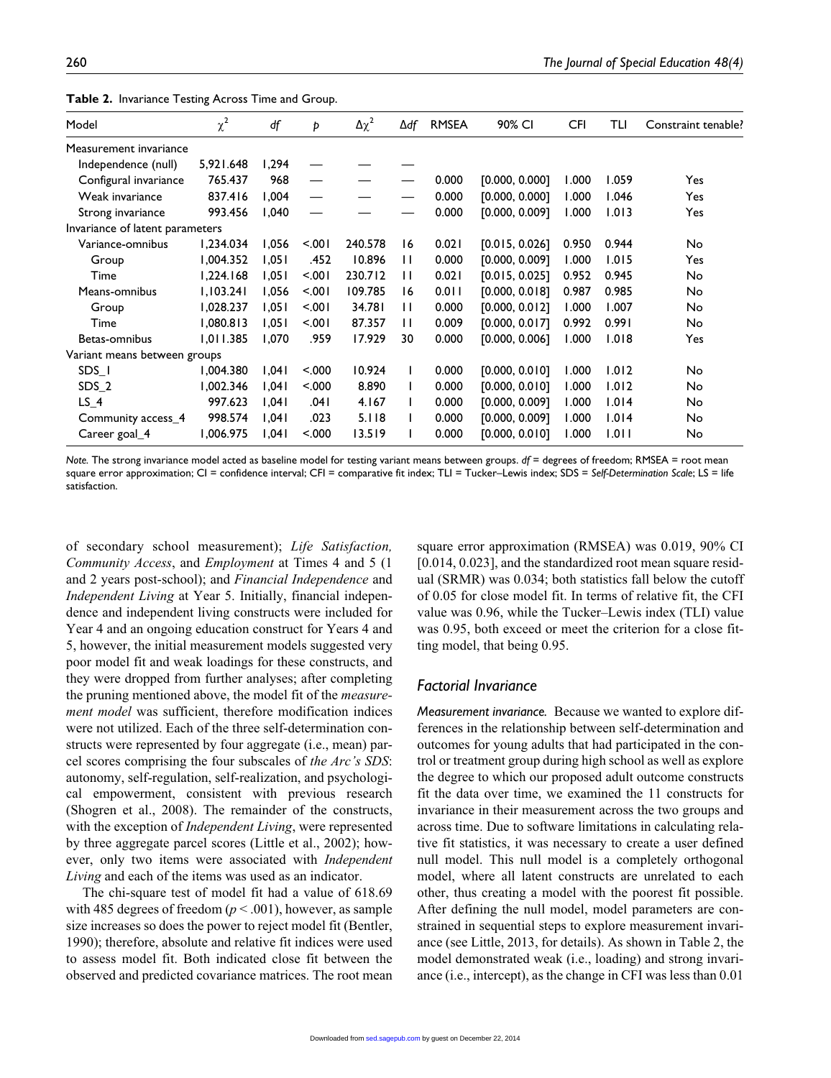| Model                           | $\chi^2$  | df    | Þ      | $\Delta \chi^2$ | Δdf          | <b>RMSEA</b> | 90% CI         | <b>CFI</b> | TLI   | Constraint tenable? |
|---------------------------------|-----------|-------|--------|-----------------|--------------|--------------|----------------|------------|-------|---------------------|
| Measurement invariance          |           |       |        |                 |              |              |                |            |       |                     |
| Independence (null)             | 5,921.648 | 1,294 |        |                 |              |              |                |            |       |                     |
| Configural invariance           | 765.437   | 968   |        |                 |              | 0.000        | [0.000, 0.000] | 1.000      | 1.059 | Yes                 |
| Weak invariance                 | 837.416   | 1,004 | —      |                 |              | 0.000        | [0.000, 0.000] | 1.000      | 1.046 | Yes                 |
| Strong invariance               | 993.456   | 1,040 |        |                 |              | 0.000        | [0.000, 0.009] | 1.000      | 1.013 | Yes                 |
| Invariance of latent parameters |           |       |        |                 |              |              |                |            |       |                     |
| Variance-omnibus                | 1.234.034 | 1,056 | 5.001  | 240.578         | 16           | 0.021        | [0.015, 0.026] | 0.950      | 0.944 | No.                 |
| Group                           | 1,004.352 | 1,051 | .452   | 10.896          | $\perp$      | 0.000        | [0.000, 0.009] | 1.000      | 1.015 | Yes                 |
| Time                            | 1,224.168 | 1,051 | 5.001  | 230.712         | $\mathbf{1}$ | 0.021        | [0.015, 0.025] | 0.952      | 0.945 | No.                 |
| Means-omnibus                   | 1,103.241 | 1,056 | 5.001  | 109.785         | 16           | 0.011        | [0.000, 0.018] | 0.987      | 0.985 | No.                 |
| Group                           | 1,028.237 | 1,051 | < .001 | 34.781          | $\mathbf{1}$ | 0.000        | [0.000, 0.012] | 1.000      | 1.007 | No                  |
| Time                            | 1,080.813 | 1,051 | 5.001  | 87.357          | $\mathbf{H}$ | 0.009        | [0.000, 0.017] | 0.992      | 0.991 | No.                 |
| Betas-omnibus                   | 1,011.385 | 1,070 | .959   | 17.929          | 30           | 0.000        | [0.000, 0.006] | 1.000      | 1.018 | Yes                 |
| Variant means between groups    |           |       |        |                 |              |              |                |            |       |                     |
| $SDS_l$                         | 1.004.380 | 1,041 | < .000 | 10.924          |              | 0.000        | [0.000, 0.010] | 1.000      | 1.012 | No.                 |
| SDS <sub>2</sub>                | 002.346.  | 1,041 | < 0.00 | 8.890           |              | 0.000        | [0.000, 0.010] | 1.000      | 1.012 | No.                 |
| LS <sub>4</sub>                 | 997.623   | 1,041 | .041   | 4.167           |              | 0.000        | [0.000, 0.009] | 1.000      | 1.014 | No                  |
| Community access_4              | 998.574   | 1,041 | .023   | 5.118           |              | 0.000        | [0.000, 0.009] | 1.000      | 1.014 | No                  |
| Career goal_4                   | 006.975.ا | 1,041 | < 0.00 | 13.519          |              | 0.000        | [0.000, 0.010] | 1.000      | 1.011 | No.                 |

**Table 2.** Invariance Testing Across Time and Group.

*Note.* The strong invariance model acted as baseline model for testing variant means between groups. *df* = degrees of freedom; RMSEA = root mean square error approximation; CI = confidence interval; CFI = comparative fit index; TLI = Tucker–Lewis index; SDS = *Self-Determination Scale*; LS = life satisfaction.

of secondary school measurement); *Life Satisfaction, Community Access*, and *Employment* at Times 4 and 5 (1 and 2 years post-school); and *Financial Independence* and *Independent Living* at Year 5. Initially, financial independence and independent living constructs were included for Year 4 and an ongoing education construct for Years 4 and 5, however, the initial measurement models suggested very poor model fit and weak loadings for these constructs, and they were dropped from further analyses; after completing the pruning mentioned above, the model fit of the *measurement model* was sufficient, therefore modification indices were not utilized. Each of the three self-determination constructs were represented by four aggregate (i.e., mean) parcel scores comprising the four subscales of *the Arc's SDS*: autonomy, self-regulation, self-realization, and psychological empowerment, consistent with previous research (Shogren et al., 2008). The remainder of the constructs, with the exception of *Independent Living*, were represented by three aggregate parcel scores (Little et al., 2002); however, only two items were associated with *Independent Living* and each of the items was used as an indicator.

The chi-square test of model fit had a value of 618.69 with 485 degrees of freedom  $(p < .001)$ , however, as sample size increases so does the power to reject model fit (Bentler, 1990); therefore, absolute and relative fit indices were used to assess model fit. Both indicated close fit between the observed and predicted covariance matrices. The root mean square error approximation (RMSEA) was 0.019, 90% CI [0.014, 0.023], and the standardized root mean square residual (SRMR) was 0.034; both statistics fall below the cutoff of 0.05 for close model fit. In terms of relative fit, the CFI value was 0.96, while the Tucker–Lewis index (TLI) value was 0.95, both exceed or meet the criterion for a close fitting model, that being 0.95.

#### *Factorial Invariance*

*Measurement invariance.* Because we wanted to explore differences in the relationship between self-determination and outcomes for young adults that had participated in the control or treatment group during high school as well as explore the degree to which our proposed adult outcome constructs fit the data over time, we examined the 11 constructs for invariance in their measurement across the two groups and across time. Due to software limitations in calculating relative fit statistics, it was necessary to create a user defined null model. This null model is a completely orthogonal model, where all latent constructs are unrelated to each other, thus creating a model with the poorest fit possible. After defining the null model, model parameters are constrained in sequential steps to explore measurement invariance (see Little, 2013, for details). As shown in Table 2, the model demonstrated weak (i.e., loading) and strong invariance (i.e., intercept), as the change in CFI was less than 0.01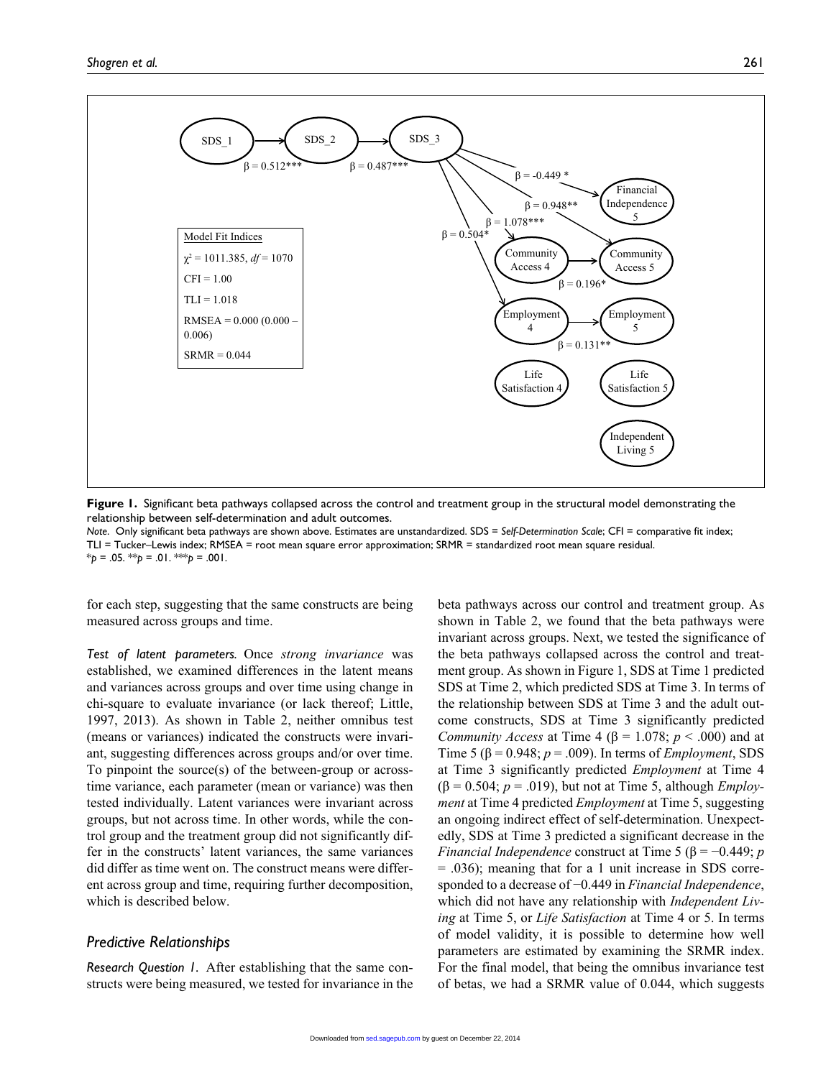

**Figure 1.** Significant beta pathways collapsed across the control and treatment group in the structural model demonstrating the relationship between self-determination and adult outcomes.

*Note*. Only significant beta pathways are shown above. Estimates are unstandardized. SDS = *Self-Determination Scale*; CFI = comparative fit index; TLI = Tucker–Lewis index; RMSEA = root mean square error approximation; SRMR = standardized root mean square residual.  $*_{p} = .05. * *_{p} = .01. * *_{p} = .001.$ 

for each step, suggesting that the same constructs are being measured across groups and time.

*Test of latent parameters.* Once *strong invariance* was established, we examined differences in the latent means and variances across groups and over time using change in chi-square to evaluate invariance (or lack thereof; Little, 1997, 2013). As shown in Table 2, neither omnibus test (means or variances) indicated the constructs were invariant, suggesting differences across groups and/or over time. To pinpoint the source(s) of the between-group or acrosstime variance, each parameter (mean or variance) was then tested individually. Latent variances were invariant across groups, but not across time. In other words, while the control group and the treatment group did not significantly differ in the constructs' latent variances, the same variances did differ as time went on. The construct means were different across group and time, requiring further decomposition, which is described below.

# *Predictive Relationships*

*Research Question 1.* After establishing that the same constructs were being measured, we tested for invariance in the beta pathways across our control and treatment group. As shown in Table 2, we found that the beta pathways were invariant across groups. Next, we tested the significance of the beta pathways collapsed across the control and treatment group. As shown in Figure 1, SDS at Time 1 predicted SDS at Time 2, which predicted SDS at Time 3. In terms of the relationship between SDS at Time 3 and the adult outcome constructs, SDS at Time 3 significantly predicted *Community Access* at Time 4 ( $\beta$  = 1.078; *p* < .000) and at Time 5 ( $\beta$  = 0.948; *p* = .009). In terms of *Employment*, SDS at Time 3 significantly predicted *Employment* at Time 4 (β = 0.504; *p* = .019), but not at Time 5, although *Employment* at Time 4 predicted *Employment* at Time 5, suggesting an ongoing indirect effect of self-determination. Unexpectedly, SDS at Time 3 predicted a significant decrease in the *Financial Independence* construct at Time 5 ( $\beta$  = −0.449; *p* = .036); meaning that for a 1 unit increase in SDS corresponded to a decrease of −0.449 in *Financial Independence*, which did not have any relationship with *Independent Living* at Time 5, or *Life Satisfaction* at Time 4 or 5. In terms of model validity, it is possible to determine how well parameters are estimated by examining the SRMR index. For the final model, that being the omnibus invariance test of betas, we had a SRMR value of 0.044, which suggests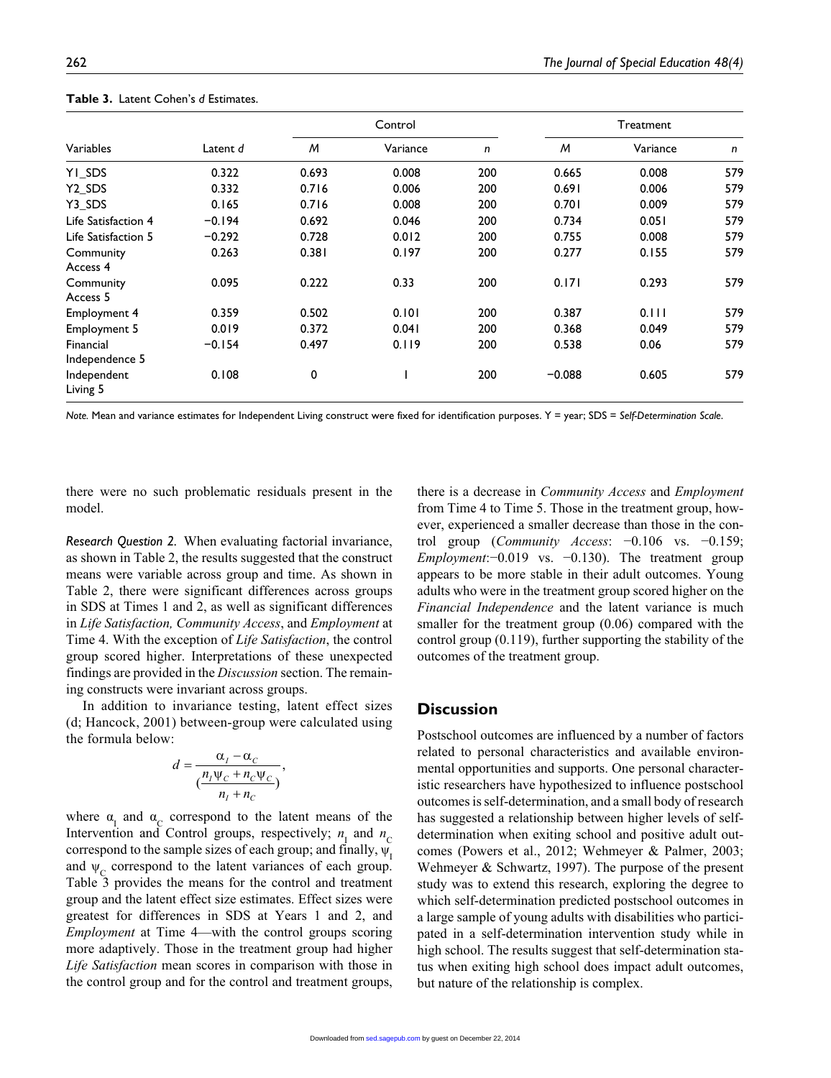| Variables                   | Latent d |       | Control  |     | Treatment |          |     |  |
|-----------------------------|----------|-------|----------|-----|-----------|----------|-----|--|
|                             |          | M     | Variance | n   | M         | Variance | n   |  |
| YI_SDS                      | 0.322    | 0.693 | 0.008    | 200 | 0.665     | 0.008    | 579 |  |
| Y2 SDS                      | 0.332    | 0.716 | 0.006    | 200 | 0.691     | 0.006    | 579 |  |
| Y3 SDS                      | 0.165    | 0.716 | 0.008    | 200 | 0.701     | 0.009    | 579 |  |
| Life Satisfaction 4         | $-0.194$ | 0.692 | 0.046    | 200 | 0.734     | 0.051    | 579 |  |
| Life Satisfaction 5         | $-0.292$ | 0.728 | 0.012    | 200 | 0.755     | 0.008    | 579 |  |
| Community<br>Access 4       | 0.263    | 0.381 | 0.197    | 200 | 0.277     | 0.155    | 579 |  |
| Community<br>Access 5       | 0.095    | 0.222 | 0.33     | 200 | 0.171     | 0.293    | 579 |  |
| <b>Employment 4</b>         | 0.359    | 0.502 | 0.101    | 200 | 0.387     | 0.111    | 579 |  |
| Employment 5                | 0.019    | 0.372 | 0.041    | 200 | 0.368     | 0.049    | 579 |  |
| Financial<br>Independence 5 | $-0.154$ | 0.497 | 0.119    | 200 | 0.538     | 0.06     | 579 |  |
| Independent<br>Living 5     | 0.108    | 0     |          | 200 | $-0.088$  | 0.605    | 579 |  |

**Table 3.** Latent Cohen's *d* Estimates.

*Note.* Mean and variance estimates for Independent Living construct were fixed for identification purposes. Y = year; SDS = *Self-Determination Scale*.

there were no such problematic residuals present in the model.

*Research Question 2.* When evaluating factorial invariance, as shown in Table 2, the results suggested that the construct means were variable across group and time. As shown in Table 2, there were significant differences across groups in SDS at Times 1 and 2, as well as significant differences in *Life Satisfaction, Community Access*, and *Employment* at Time 4. With the exception of *Life Satisfaction*, the control group scored higher. Interpretations of these unexpected findings are provided in the *Discussion* section. The remaining constructs were invariant across groups.

In addition to invariance testing, latent effect sizes (d; Hancock, 2001) between-group were calculated using the formula below:

$$
d = \frac{\alpha_I - \alpha_C}{\left(\frac{n_I \Psi_C + n_C \Psi_C}{n_I + n_C}\right)},
$$

where  $\alpha_{\text{I}}$  and  $\alpha_{\text{C}}$  correspond to the latent means of the Intervention and Control groups, respectively;  $n<sub>j</sub>$  and  $n<sub>C</sub>$ correspond to the sample sizes of each group; and finally,  $\psi_{I}$ and  $\psi_c$  correspond to the latent variances of each group. Table 3 provides the means for the control and treatment group and the latent effect size estimates. Effect sizes were greatest for differences in SDS at Years 1 and 2, and *Employment* at Time 4—with the control groups scoring more adaptively. Those in the treatment group had higher *Life Satisfaction* mean scores in comparison with those in the control group and for the control and treatment groups,

there is a decrease in *Community Access* and *Employment* from Time 4 to Time 5. Those in the treatment group, however, experienced a smaller decrease than those in the control group (*Community Access*: −0.106 vs. −0.159; *Employment*:−0.019 vs. −0.130). The treatment group appears to be more stable in their adult outcomes. Young adults who were in the treatment group scored higher on the *Financial Independence* and the latent variance is much smaller for the treatment group (0.06) compared with the control group (0.119), further supporting the stability of the outcomes of the treatment group.

# **Discussion**

Postschool outcomes are influenced by a number of factors related to personal characteristics and available environmental opportunities and supports. One personal characteristic researchers have hypothesized to influence postschool outcomes is self-determination, and a small body of research has suggested a relationship between higher levels of selfdetermination when exiting school and positive adult outcomes (Powers et al., 2012; Wehmeyer & Palmer, 2003; Wehmeyer & Schwartz, 1997). The purpose of the present study was to extend this research, exploring the degree to which self-determination predicted postschool outcomes in a large sample of young adults with disabilities who participated in a self-determination intervention study while in high school. The results suggest that self-determination status when exiting high school does impact adult outcomes, but nature of the relationship is complex.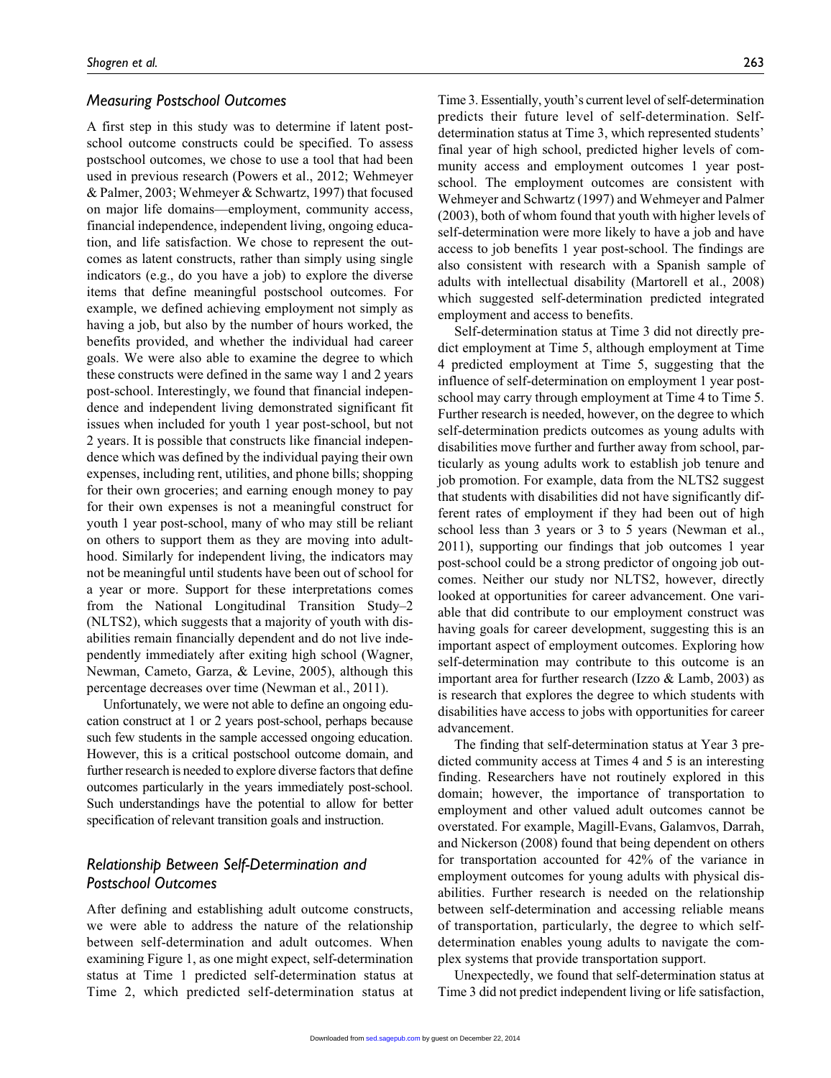# *Measuring Postschool Outcomes*

A first step in this study was to determine if latent postschool outcome constructs could be specified. To assess postschool outcomes, we chose to use a tool that had been used in previous research (Powers et al., 2012; Wehmeyer & Palmer, 2003; Wehmeyer & Schwartz, 1997) that focused on major life domains—employment, community access, financial independence, independent living, ongoing education, and life satisfaction. We chose to represent the outcomes as latent constructs, rather than simply using single indicators (e.g., do you have a job) to explore the diverse items that define meaningful postschool outcomes. For example, we defined achieving employment not simply as having a job, but also by the number of hours worked, the benefits provided, and whether the individual had career goals. We were also able to examine the degree to which these constructs were defined in the same way 1 and 2 years post-school. Interestingly, we found that financial independence and independent living demonstrated significant fit issues when included for youth 1 year post-school, but not 2 years. It is possible that constructs like financial independence which was defined by the individual paying their own expenses, including rent, utilities, and phone bills; shopping for their own groceries; and earning enough money to pay for their own expenses is not a meaningful construct for youth 1 year post-school, many of who may still be reliant on others to support them as they are moving into adulthood. Similarly for independent living, the indicators may not be meaningful until students have been out of school for a year or more. Support for these interpretations comes from the National Longitudinal Transition Study–2 (NLTS2), which suggests that a majority of youth with disabilities remain financially dependent and do not live independently immediately after exiting high school (Wagner, Newman, Cameto, Garza, & Levine, 2005), although this percentage decreases over time (Newman et al., 2011).

Unfortunately, we were not able to define an ongoing education construct at 1 or 2 years post-school, perhaps because such few students in the sample accessed ongoing education. However, this is a critical postschool outcome domain, and further research is needed to explore diverse factors that define outcomes particularly in the years immediately post-school. Such understandings have the potential to allow for better specification of relevant transition goals and instruction.

# *Relationship Between Self-Determination and Postschool Outcomes*

After defining and establishing adult outcome constructs, we were able to address the nature of the relationship between self-determination and adult outcomes. When examining Figure 1, as one might expect, self-determination status at Time 1 predicted self-determination status at Time 2, which predicted self-determination status at Time 3. Essentially, youth's current level of self-determination predicts their future level of self-determination. Selfdetermination status at Time 3, which represented students' final year of high school, predicted higher levels of community access and employment outcomes 1 year postschool. The employment outcomes are consistent with Wehmeyer and Schwartz (1997) and Wehmeyer and Palmer (2003), both of whom found that youth with higher levels of self-determination were more likely to have a job and have access to job benefits 1 year post-school. The findings are also consistent with research with a Spanish sample of adults with intellectual disability (Martorell et al., 2008) which suggested self-determination predicted integrated employment and access to benefits.

Self-determination status at Time 3 did not directly predict employment at Time 5, although employment at Time 4 predicted employment at Time 5, suggesting that the influence of self-determination on employment 1 year postschool may carry through employment at Time 4 to Time 5. Further research is needed, however, on the degree to which self-determination predicts outcomes as young adults with disabilities move further and further away from school, particularly as young adults work to establish job tenure and job promotion. For example, data from the NLTS2 suggest that students with disabilities did not have significantly different rates of employment if they had been out of high school less than 3 years or 3 to 5 years (Newman et al., 2011), supporting our findings that job outcomes 1 year post-school could be a strong predictor of ongoing job outcomes. Neither our study nor NLTS2, however, directly looked at opportunities for career advancement. One variable that did contribute to our employment construct was having goals for career development, suggesting this is an important aspect of employment outcomes. Exploring how self-determination may contribute to this outcome is an important area for further research (Izzo & Lamb, 2003) as is research that explores the degree to which students with disabilities have access to jobs with opportunities for career advancement.

The finding that self-determination status at Year 3 predicted community access at Times 4 and 5 is an interesting finding. Researchers have not routinely explored in this domain; however, the importance of transportation to employment and other valued adult outcomes cannot be overstated. For example, Magill-Evans, Galamvos, Darrah, and Nickerson (2008) found that being dependent on others for transportation accounted for 42% of the variance in employment outcomes for young adults with physical disabilities. Further research is needed on the relationship between self-determination and accessing reliable means of transportation, particularly, the degree to which selfdetermination enables young adults to navigate the complex systems that provide transportation support.

Unexpectedly, we found that self-determination status at Time 3 did not predict independent living or life satisfaction,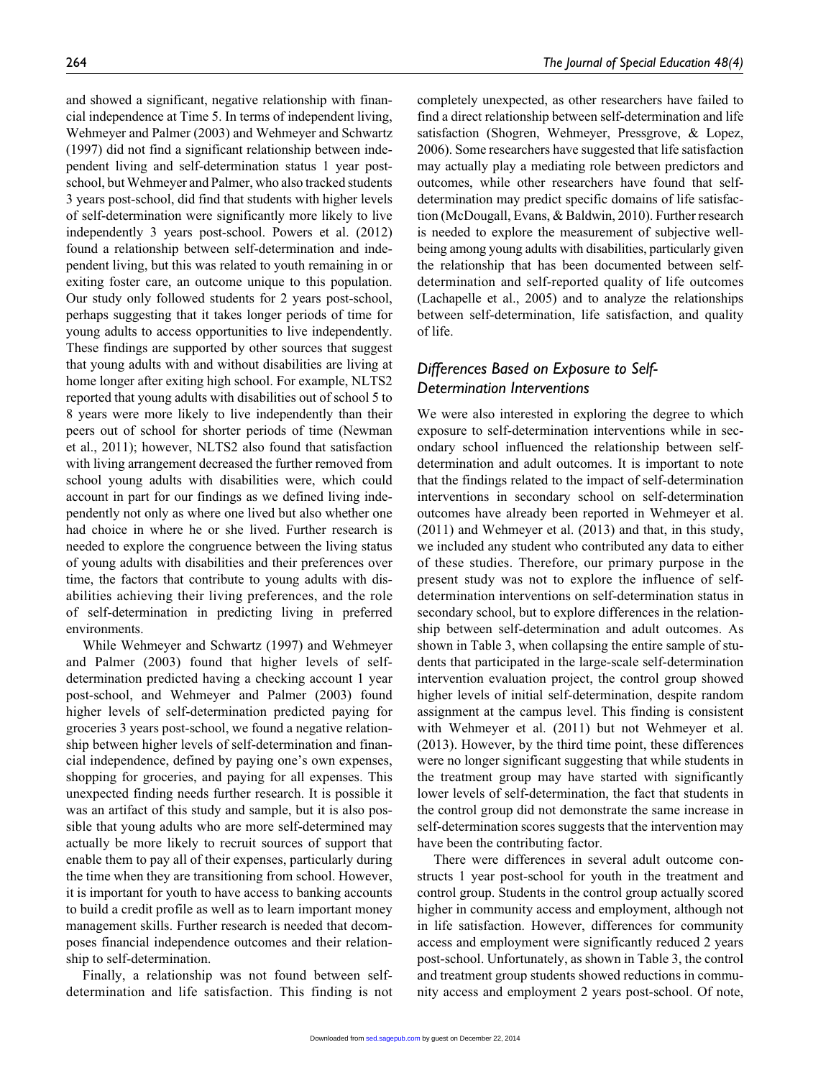and showed a significant, negative relationship with financial independence at Time 5. In terms of independent living, Wehmeyer and Palmer (2003) and Wehmeyer and Schwartz (1997) did not find a significant relationship between independent living and self-determination status 1 year postschool, but Wehmeyer and Palmer, who also tracked students 3 years post-school, did find that students with higher levels of self-determination were significantly more likely to live independently 3 years post-school. Powers et al. (2012) found a relationship between self-determination and independent living, but this was related to youth remaining in or exiting foster care, an outcome unique to this population. Our study only followed students for 2 years post-school, perhaps suggesting that it takes longer periods of time for young adults to access opportunities to live independently. These findings are supported by other sources that suggest that young adults with and without disabilities are living at home longer after exiting high school. For example, NLTS2 reported that young adults with disabilities out of school 5 to 8 years were more likely to live independently than their peers out of school for shorter periods of time (Newman et al., 2011); however, NLTS2 also found that satisfaction with living arrangement decreased the further removed from school young adults with disabilities were, which could account in part for our findings as we defined living independently not only as where one lived but also whether one had choice in where he or she lived. Further research is needed to explore the congruence between the living status of young adults with disabilities and their preferences over time, the factors that contribute to young adults with disabilities achieving their living preferences, and the role of self-determination in predicting living in preferred environments.

While Wehmeyer and Schwartz (1997) and Wehmeyer and Palmer (2003) found that higher levels of selfdetermination predicted having a checking account 1 year post-school, and Wehmeyer and Palmer (2003) found higher levels of self-determination predicted paying for groceries 3 years post-school, we found a negative relationship between higher levels of self-determination and financial independence, defined by paying one's own expenses, shopping for groceries, and paying for all expenses. This unexpected finding needs further research. It is possible it was an artifact of this study and sample, but it is also possible that young adults who are more self-determined may actually be more likely to recruit sources of support that enable them to pay all of their expenses, particularly during the time when they are transitioning from school. However, it is important for youth to have access to banking accounts to build a credit profile as well as to learn important money management skills. Further research is needed that decomposes financial independence outcomes and their relationship to self-determination.

Finally, a relationship was not found between selfdetermination and life satisfaction. This finding is not completely unexpected, as other researchers have failed to find a direct relationship between self-determination and life satisfaction (Shogren, Wehmeyer, Pressgrove, & Lopez, 2006). Some researchers have suggested that life satisfaction may actually play a mediating role between predictors and outcomes, while other researchers have found that selfdetermination may predict specific domains of life satisfaction (McDougall, Evans, & Baldwin, 2010). Further research is needed to explore the measurement of subjective wellbeing among young adults with disabilities, particularly given the relationship that has been documented between selfdetermination and self-reported quality of life outcomes (Lachapelle et al., 2005) and to analyze the relationships between self-determination, life satisfaction, and quality of life.

# *Differences Based on Exposure to Self-Determination Interventions*

We were also interested in exploring the degree to which exposure to self-determination interventions while in secondary school influenced the relationship between selfdetermination and adult outcomes. It is important to note that the findings related to the impact of self-determination interventions in secondary school on self-determination outcomes have already been reported in Wehmeyer et al. (2011) and Wehmeyer et al. (2013) and that, in this study, we included any student who contributed any data to either of these studies. Therefore, our primary purpose in the present study was not to explore the influence of selfdetermination interventions on self-determination status in secondary school, but to explore differences in the relationship between self-determination and adult outcomes. As shown in Table 3, when collapsing the entire sample of students that participated in the large-scale self-determination intervention evaluation project, the control group showed higher levels of initial self-determination, despite random assignment at the campus level. This finding is consistent with Wehmeyer et al. (2011) but not Wehmeyer et al. (2013). However, by the third time point, these differences were no longer significant suggesting that while students in the treatment group may have started with significantly lower levels of self-determination, the fact that students in the control group did not demonstrate the same increase in self-determination scores suggests that the intervention may have been the contributing factor.

There were differences in several adult outcome constructs 1 year post-school for youth in the treatment and control group. Students in the control group actually scored higher in community access and employment, although not in life satisfaction. However, differences for community access and employment were significantly reduced 2 years post-school. Unfortunately, as shown in Table 3, the control and treatment group students showed reductions in community access and employment 2 years post-school. Of note,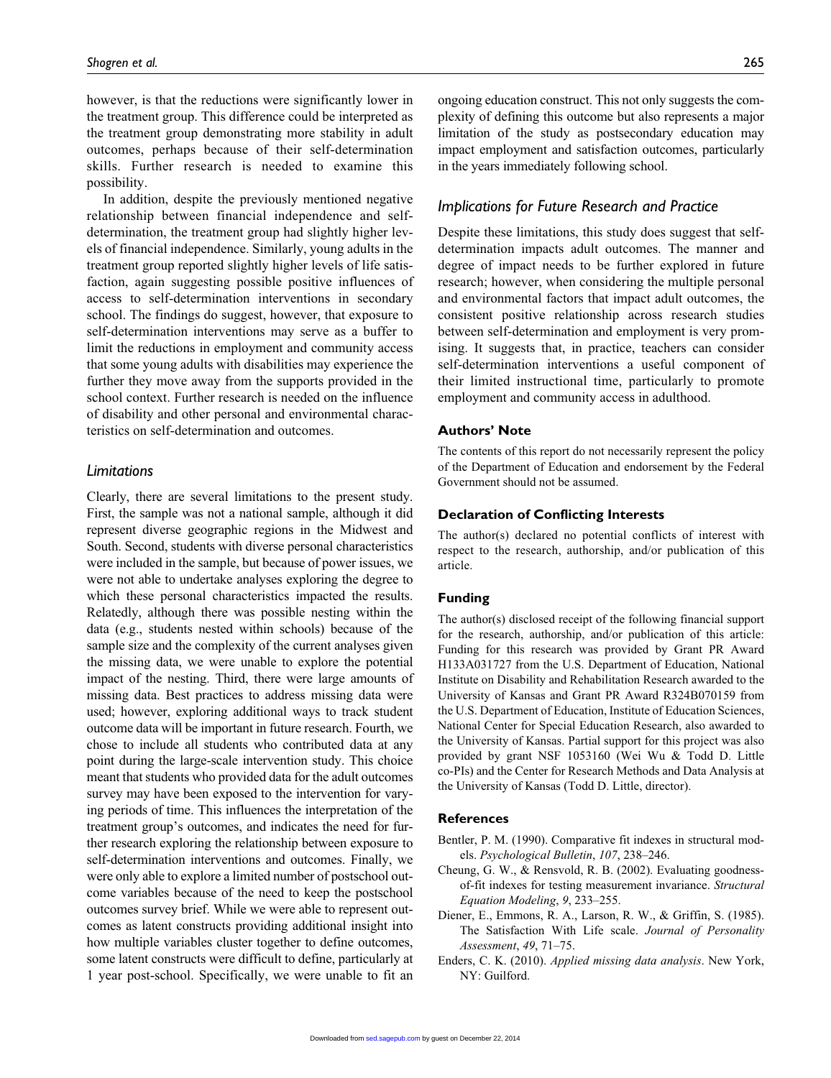however, is that the reductions were significantly lower in the treatment group. This difference could be interpreted as the treatment group demonstrating more stability in adult outcomes, perhaps because of their self-determination skills. Further research is needed to examine this possibility.

In addition, despite the previously mentioned negative relationship between financial independence and selfdetermination, the treatment group had slightly higher levels of financial independence. Similarly, young adults in the treatment group reported slightly higher levels of life satisfaction, again suggesting possible positive influences of access to self-determination interventions in secondary school. The findings do suggest, however, that exposure to self-determination interventions may serve as a buffer to limit the reductions in employment and community access that some young adults with disabilities may experience the further they move away from the supports provided in the school context. Further research is needed on the influence of disability and other personal and environmental characteristics on self-determination and outcomes.

#### *Limitations*

Clearly, there are several limitations to the present study. First, the sample was not a national sample, although it did represent diverse geographic regions in the Midwest and South. Second, students with diverse personal characteristics were included in the sample, but because of power issues, we were not able to undertake analyses exploring the degree to which these personal characteristics impacted the results. Relatedly, although there was possible nesting within the data (e.g., students nested within schools) because of the sample size and the complexity of the current analyses given the missing data, we were unable to explore the potential impact of the nesting. Third, there were large amounts of missing data. Best practices to address missing data were used; however, exploring additional ways to track student outcome data will be important in future research. Fourth, we chose to include all students who contributed data at any point during the large-scale intervention study. This choice meant that students who provided data for the adult outcomes survey may have been exposed to the intervention for varying periods of time. This influences the interpretation of the treatment group's outcomes, and indicates the need for further research exploring the relationship between exposure to self-determination interventions and outcomes. Finally, we were only able to explore a limited number of postschool outcome variables because of the need to keep the postschool outcomes survey brief. While we were able to represent outcomes as latent constructs providing additional insight into how multiple variables cluster together to define outcomes, some latent constructs were difficult to define, particularly at 1 year post-school. Specifically, we were unable to fit an

ongoing education construct. This not only suggests the complexity of defining this outcome but also represents a major limitation of the study as postsecondary education may impact employment and satisfaction outcomes, particularly in the years immediately following school.

# *Implications for Future Research and Practice*

Despite these limitations, this study does suggest that selfdetermination impacts adult outcomes. The manner and degree of impact needs to be further explored in future research; however, when considering the multiple personal and environmental factors that impact adult outcomes, the consistent positive relationship across research studies between self-determination and employment is very promising. It suggests that, in practice, teachers can consider self-determination interventions a useful component of their limited instructional time, particularly to promote employment and community access in adulthood.

#### **Authors' Note**

The contents of this report do not necessarily represent the policy of the Department of Education and endorsement by the Federal Government should not be assumed.

### **Declaration of Conflicting Interests**

The author(s) declared no potential conflicts of interest with respect to the research, authorship, and/or publication of this article.

#### **Funding**

The author(s) disclosed receipt of the following financial support for the research, authorship, and/or publication of this article: Funding for this research was provided by Grant PR Award H133A031727 from the U.S. Department of Education, National Institute on Disability and Rehabilitation Research awarded to the University of Kansas and Grant PR Award R324B070159 from the U.S. Department of Education, Institute of Education Sciences, National Center for Special Education Research, also awarded to the University of Kansas. Partial support for this project was also provided by grant NSF 1053160 (Wei Wu & Todd D. Little co-PIs) and the Center for Research Methods and Data Analysis at the University of Kansas (Todd D. Little, director).

#### **References**

- Bentler, P. M. (1990). Comparative fit indexes in structural models. *Psychological Bulletin*, *107*, 238–246.
- Cheung, G. W., & Rensvold, R. B. (2002). Evaluating goodnessof-fit indexes for testing measurement invariance. *Structural Equation Modeling*, *9*, 233–255.
- Diener, E., Emmons, R. A., Larson, R. W., & Griffin, S. (1985). The Satisfaction With Life scale. *Journal of Personality Assessment*, *49*, 71–75.
- Enders, C. K. (2010). *Applied missing data analysis*. New York, NY: Guilford.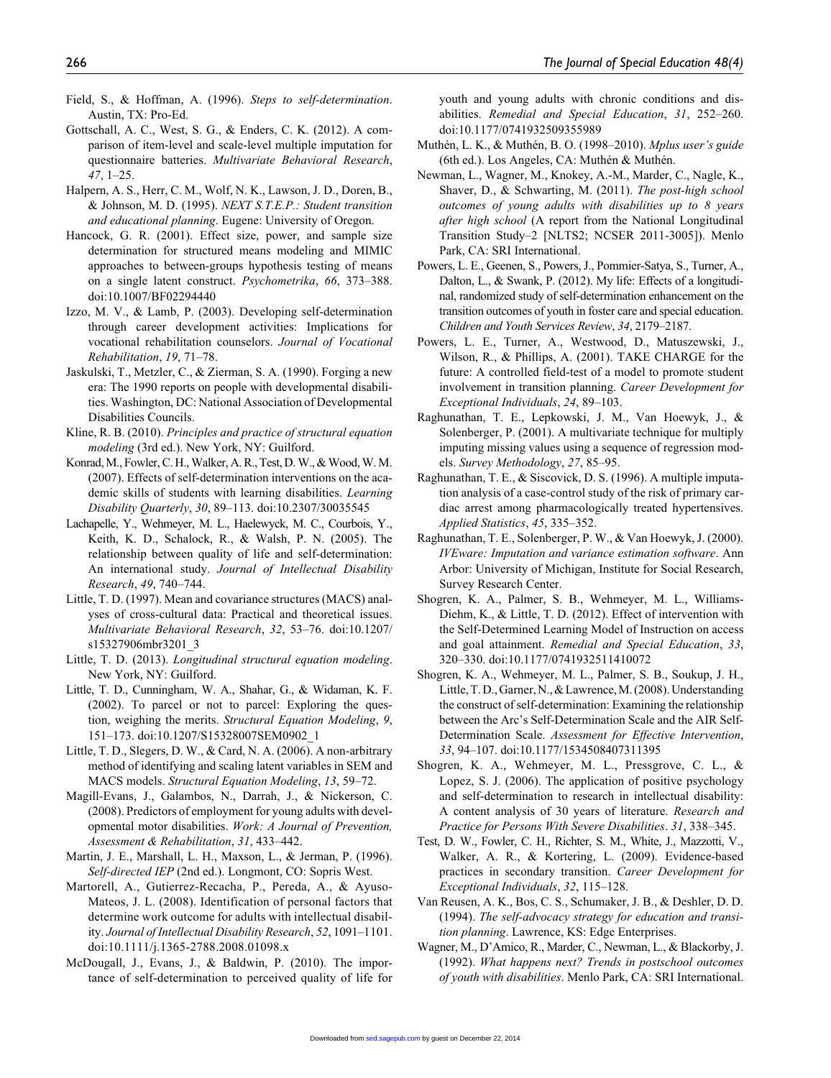- Field, S., & Hoffman, A. (1996). *Steps to self-determination*. Austin, TX: Pro-Ed.
- Gottschall, A. C., West, S. G., & Enders, C. K. (2012). A comparison of item-level and scale-level multiple imputation for questionnaire batteries. *Multivariate Behavioral Research*, *47*, 1–25.
- Halpern, A. S., Herr, C. M., Wolf, N. K., Lawson, J. D., Doren, B., & Johnson, M. D. (1995). *NEXT S.T.E.P.: Student transition and educational planning*. Eugene: University of Oregon.
- Hancock, G. R. (2001). Effect size, power, and sample size determination for structured means modeling and MIMIC approaches to between-groups hypothesis testing of means on a single latent construct. *Psychometrika*, *66*, 373–388. doi:10.1007/BF02294440
- Izzo, M. V., & Lamb, P. (2003). Developing self-determination through career development activities: Implications for vocational rehabilitation counselors. *Journal of Vocational Rehabilitation*, *19*, 71–78.
- Jaskulski, T., Metzler, C., & Zierman, S. A. (1990). Forging a new era: The 1990 reports on people with developmental disabilities. Washington, DC: National Association of Developmental Disabilities Councils.
- Kline, R. B. (2010). *Principles and practice of structural equation modeling* (3rd ed.). New York, NY: Guilford.
- Konrad, M., Fowler, C. H., Walker, A. R., Test, D. W., & Wood, W. M. (2007). Effects of self-determination interventions on the academic skills of students with learning disabilities. *Learning Disability Quarterly*, *30*, 89–113. doi:10.2307/30035545
- Lachapelle, Y., Wehmeyer, M. L., Haelewyck, M. C., Courbois, Y., Keith, K. D., Schalock, R., & Walsh, P. N. (2005). The relationship between quality of life and self-determination: An international study. *Journal of Intellectual Disability Research*, *49*, 740–744.
- Little, T. D. (1997). Mean and covariance structures (MACS) analyses of cross-cultural data: Practical and theoretical issues. *Multivariate Behavioral Research*, *32*, 53–76. doi:10.1207/ s15327906mbr3201\_3
- Little, T. D. (2013). *Longitudinal structural equation modeling*. New York, NY: Guilford.
- Little, T. D., Cunningham, W. A., Shahar, G., & Widaman, K. F. (2002). To parcel or not to parcel: Exploring the question, weighing the merits. *Structural Equation Modeling*, *9*, 151–173. doi:10.1207/S15328007SEM0902\_1
- Little, T. D., Slegers, D. W., & Card, N. A. (2006). A non-arbitrary method of identifying and scaling latent variables in SEM and MACS models. *Structural Equation Modeling*, *13*, 59–72.
- Magill-Evans, J., Galambos, N., Darrah, J., & Nickerson, C. (2008). Predictors of employment for young adults with developmental motor disabilities. *Work: A Journal of Prevention, Assessment & Rehabilitation*, *31*, 433–442.
- Martin, J. E., Marshall, L. H., Maxson, L., & Jerman, P. (1996). *Self-directed IEP* (2nd ed.). Longmont, CO: Sopris West.
- Martorell, A., Gutierrez-Recacha, P., Pereda, A., & Ayuso-Mateos, J. L. (2008). Identification of personal factors that determine work outcome for adults with intellectual disability. *Journal of Intellectual Disability Research*, *52*, 1091–1101. doi:10.1111/j.1365-2788.2008.01098.x
- McDougall, J., Evans, J., & Baldwin, P. (2010). The importance of self-determination to perceived quality of life for

youth and young adults with chronic conditions and disabilities. *Remedial and Special Education*, *31*, 252–260. doi:10.1177/0741932509355989

- Muthén, L. K., & Muthén, B. O. (1998–2010). *Mplus user's guide* (6th ed.). Los Angeles, CA: Muthén & Muthén.
- Newman, L., Wagner, M., Knokey, A.-M., Marder, C., Nagle, K., Shaver, D., & Schwarting, M. (2011). *The post-high school outcomes of young adults with disabilities up to 8 years after high school* (A report from the National Longitudinal Transition Study–2 [NLTS2; NCSER 2011-3005]). Menlo Park, CA: SRI International.
- Powers, L. E., Geenen, S., Powers, J., Pommier-Satya, S., Turner, A., Dalton, L., & Swank, P. (2012). My life: Effects of a longitudinal, randomized study of self-determination enhancement on the transition outcomes of youth in foster care and special education. *Children and Youth Services Review*, *34*, 2179–2187.
- Powers, L. E., Turner, A., Westwood, D., Matuszewski, J., Wilson, R., & Phillips, A. (2001). TAKE CHARGE for the future: A controlled field-test of a model to promote student involvement in transition planning. *Career Development for Exceptional Individuals*, *24*, 89–103.
- Raghunathan, T. E., Lepkowski, J. M., Van Hoewyk, J., & Solenberger, P. (2001). A multivariate technique for multiply imputing missing values using a sequence of regression models. *Survey Methodology*, *27*, 85–95.
- Raghunathan, T. E., & Siscovick, D. S. (1996). A multiple imputation analysis of a case-control study of the risk of primary cardiac arrest among pharmacologically treated hypertensives. *Applied Statistics*, *45*, 335–352.
- Raghunathan, T. E., Solenberger, P. W., & Van Hoewyk, J. (2000). *IVEware: Imputation and variance estimation software*. Ann Arbor: University of Michigan, Institute for Social Research, Survey Research Center.
- Shogren, K. A., Palmer, S. B., Wehmeyer, M. L., Williams-Diehm, K., & Little, T. D. (2012). Effect of intervention with the Self-Determined Learning Model of Instruction on access and goal attainment. *Remedial and Special Education*, *33*, 320–330. doi:10.1177/0741932511410072
- Shogren, K. A., Wehmeyer, M. L., Palmer, S. B., Soukup, J. H., Little, T. D., Garner, N., & Lawrence, M. (2008). Understanding the construct of self-determination: Examining the relationship between the Arc's Self-Determination Scale and the AIR Self-Determination Scale. *Assessment for Effective Intervention*, *33*, 94–107. doi:10.1177/1534508407311395
- Shogren, K. A., Wehmeyer, M. L., Pressgrove, C. L., & Lopez, S. J. (2006). The application of positive psychology and self-determination to research in intellectual disability: A content analysis of 30 years of literature. *Research and Practice for Persons With Severe Disabilities*. *31*, 338–345.
- Test, D. W., Fowler, C. H., Richter, S. M., White, J., Mazzotti, V., Walker, A. R., & Kortering, L. (2009). Evidence-based practices in secondary transition. *Career Development for Exceptional Individuals*, *32*, 115–128.
- Van Reusen, A. K., Bos, C. S., Schumaker, J. B., & Deshler, D. D. (1994). *The self-advocacy strategy for education and transition planning*. Lawrence, KS: Edge Enterprises.
- Wagner, M., D'Amico, R., Marder, C., Newman, L., & Blackorby, J. (1992). *What happens next? Trends in postschool outcomes of youth with disabilities*. Menlo Park, CA: SRI International.